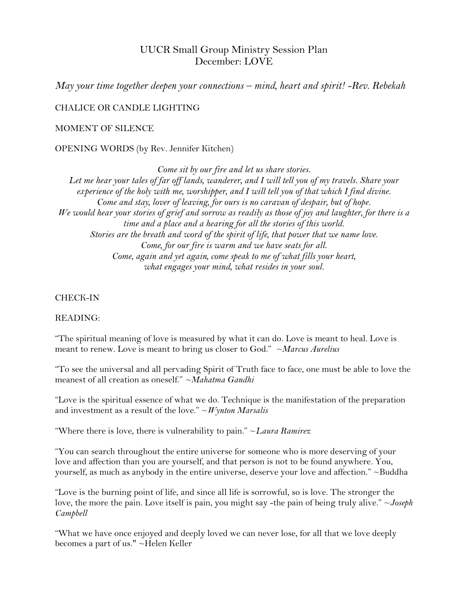# UUCR Small Group Ministry Session Plan December: LOVE

*May your time together deepen your connections – mind, heart and spirit! -Rev. Rebekah*

CHALICE OR CANDLE LIGHTING

### MOMENT OF SILENCE

OPENING WORDS (by Rev. Jennifer Kitchen)

*Come sit by our fire and let us share stories. Let me hear your tales of far off lands, wanderer, and I will tell you of my travels. Share your experience of the holy with me, worshipper, and I will tell you of that which I find divine. Come and stay, lover of leaving, for ours is no caravan of despair, but of hope. We would hear your stories of grief and sorrow as readily as those of joy and laughter, for there is a time and a place and a hearing for all the stories of this world. Stories are the breath and word of the spirit of life, that power that we name love. Come, for our fire is warm and we have seats for all. Come, again and yet again, come speak to me of what fills your heart, what engages your mind, what resides in your soul.*

#### CHECK-IN

#### READING:

"The spiritual meaning of love is measured by what it can do. Love is meant to heal. Love is meant to renew. Love is meant to bring us closer to God." *~Marcus Aurelius*

"To see the universal and all pervading Spirit of Truth face to face, one must be able to love the meanest of all creation as oneself." *~Mahatma Gandhi*

"Love is the spiritual essence of what we do. Technique is the manifestation of the preparation and investment as a result of the love." ~*Wynton Marsalis*

"Where there is love, there is vulnerability to pain." ~*Laura Ramirez*

"You can search throughout the entire universe for someone who is more deserving of your love and affection than you are yourself, and that person is not to be found anywhere. You, yourself, as much as anybody in the entire universe, deserve your love and affection." ~Buddha

"Love is the burning point of life, and since all life is sorrowful, so is love. The stronger the love, the more the pain. Love itself is pain, you might say -the pain of being truly alive." ~*Joseph Campbell*

"What we have once enjoyed and deeply loved we can never lose, for all that we love deeply becomes a part of us." ~Helen Keller